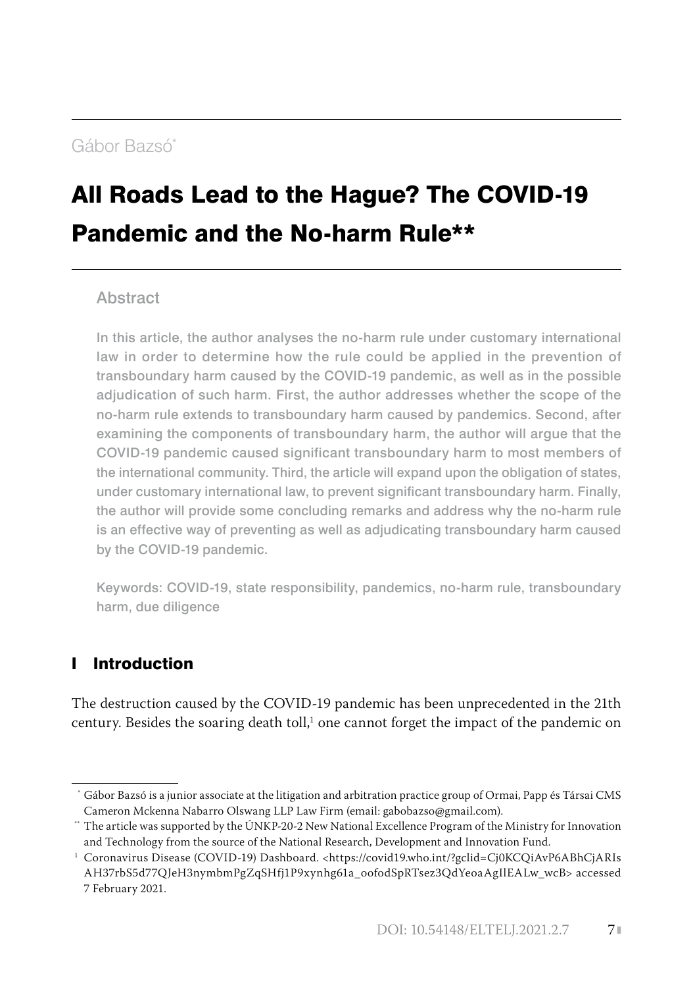# [Gábor Bazsó\\*](#page--1-0)

# [All Roads Lead to the Hague? The COVID-19](#page--1-0)  [Pandemic and the No-harm Rule\\*\\*](#page--1-0)

#### Abstract

In this article, the author analyses the no-harm rule under customary international law in order to determine how the rule could be applied in the prevention of transboundary harm caused by the COVID-19 pandemic, as well as in the possible adjudication of such harm. First, the author addresses whether the scope of the no-harm rule extends to transboundary harm caused by pandemics. Second, after examining the components of transboundary harm, the author will argue that the COVID-19 pandemic caused significant transboundary harm to most members of the international community. Third, the article will expand upon the obligation of states, under customary international law, to prevent significant transboundary harm. Finally, the author will provide some concluding remarks and address why the no-harm rule is an effective way of preventing as well as adjudicating transboundary harm caused by the COVID-19 pandemic.

Keywords: COVID-19, state responsibility, pandemics, no-harm rule, transboundary harm, due diligence

# I Introduction

The destruction caused by the COVID-19 pandemic has been unprecedented in the 21th century. Besides the soaring death toll,<sup>1</sup> one cannot forget the impact of the pandemic on

 <sup>\*</sup> Gábor Bazsó is a junior associate at the litigation and arbitration practice group of Ormai, Papp és Társai CMS Cameron Mckenna Nabarro Olswang LLP Law Firm (email: [gabobazso@gmail.com\)](mailto:gabobazso@gmail.com).

The article was supported by the ÚNKP-20-2 New National Excellence Program of the Ministry for Innovation and Technology from the source of the National Research, Development and Innovation Fund.

<sup>1</sup> Coronavirus Disease (COVID-19) Dashboard. [<https://covid19.who.int/?gclid=Cj0KCQiAvP6ABhCjARIs](https://covid19.who.int/?gclid=Cj0KCQiAvP6ABhCjARIsAH37rbS5d77QJeH3nymbmPgZqSHfj1P9xynhg61a_oofodSpRTsez3QdYeoaAgIlEALw_wcB) [AH37rbS5d77QJeH3nymbmPgZqSHfj1P9xynhg61a\\_oofodSpRTsez3QdYeoaAgIlEALw\\_wcB](https://covid19.who.int/?gclid=Cj0KCQiAvP6ABhCjARIsAH37rbS5d77QJeH3nymbmPgZqSHfj1P9xynhg61a_oofodSpRTsez3QdYeoaAgIlEALw_wcB)> accessed 7 February 2021.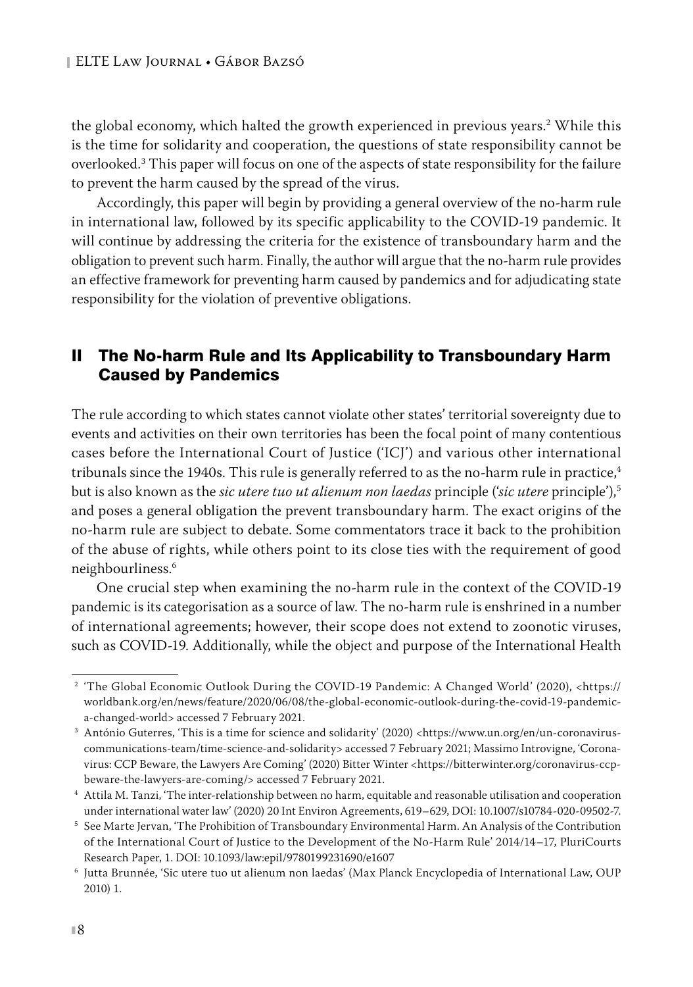the global economy, which halted the growth experienced in previous years.<sup>2</sup> While this is the time for solidarity and cooperation, the questions of state responsibility cannot be overlooked.3 This paper will focus on one of the aspects of state responsibility for the failure to prevent the harm caused by the spread of the virus.

Accordingly, this paper will begin by providing a general overview of the no-harm rule in international law, followed by its specific applicability to the COVID-19 pandemic. It will continue by addressing the criteria for the existence of transboundary harm and the obligation to prevent such harm. Finally, the author will argue that the no-harm rule provides an effective framework for preventing harm caused by pandemics and for adjudicating state responsibility for the violation of preventive obligations.

## II The No-harm Rule and Its Applicability to Transboundary Harm Caused by Pandemics

The rule according to which states cannot violate other states' territorial sovereignty due to events and activities on their own territories has been the focal point of many contentious cases before the International Court of Justice ('ICJ') and various other international tribunals since the 1940s. This rule is generally referred to as the no-harm rule in practice, $4$ but is also known as the *sic utere tuo ut alienum non laedas* principle ('*sic utere* principle'),5 and poses a general obligation the prevent transboundary harm. The exact origins of the no-harm rule are subject to debate. Some commentators trace it back to the prohibition of the abuse of rights, while others point to its close ties with the requirement of good neighbourliness.6

One crucial step when examining the no-harm rule in the context of the COVID-19 pandemic is its categorisation as a source of law. The no-harm rule is enshrined in a number of international agreements; however, their scope does not extend to zoonotic viruses, such as COVID-19. Additionally, while the object and purpose of the International Health

<sup>&</sup>lt;sup>2</sup> 'The Global Economic Outlook During the COVID-19 Pandemic: A Changed World' (2020), <https:// worldbank.org/en/news/feature/2020/06/08/the-global-economic-outlook-during-the-covid-19-pandemica-changed-world> accessed 7 February 2021.

<sup>&</sup>lt;sup>3</sup> António Guterres, 'This is a time for science and solidarity' (2020) [<https://www.un.org/en/un-coronavirus](https://www.un.org/en/un-coronavirus-communications-team/time-science-and-solidarity)[communications-team/time-science-and-solidarity](https://www.un.org/en/un-coronavirus-communications-team/time-science-and-solidarity)> accessed 7 February 2021; Massimo Introvigne, 'Coronavirus: CCP Beware, the Lawyers Are Coming' (2020) Bitter Winter <[https://bitterwinter.org/coronavirus-ccp](https://bitterwinter.org/coronavirus-ccp-beware-the-lawyers-are-coming/)[beware-the-lawyers-are-coming/](https://bitterwinter.org/coronavirus-ccp-beware-the-lawyers-are-coming/)> accessed 7 February 2021.

<sup>4</sup> Attila M. Tanzi, 'The inter-relationship between no harm, equitable and reasonable utilisation and cooperation under international water law' (2020) 20 Int Environ Agreements, 619–629, DOI: 10.1007/s10784-020-09502-7.

<sup>5</sup> See Marte Jervan, 'The Prohibition of Transboundary Environmental Harm. An Analysis of the Contribution of the International Court of Justice to the Development of the No-Harm Rule' 2014/14–17, PluriCourts Research Paper, 1. DOI: 10.1093/law:epil/9780199231690/e1607

<sup>6</sup> Jutta Brunnée, 'Sic utere tuo ut alienum non laedas' (Max Planck Encyclopedia of International Law, OUP 2010) 1.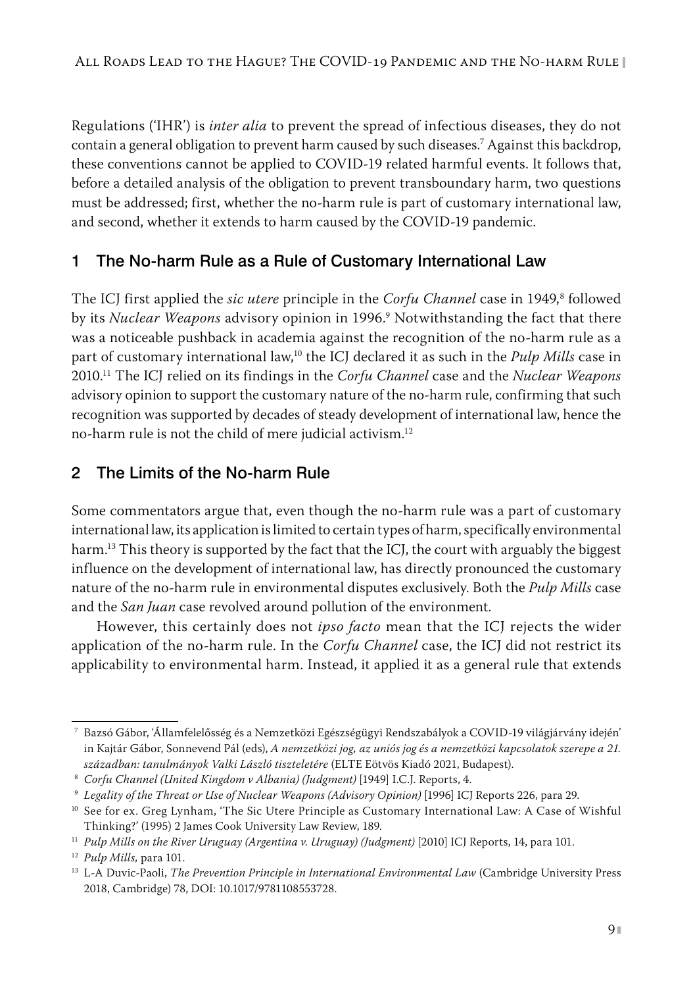Regulations ('IHR') is *inter alia* to prevent the spread of infectious diseases, they do not contain a general obligation to prevent harm caused by such diseases.7 Against this backdrop, these conventions cannot be applied to COVID-19 related harmful events. It follows that, before a detailed analysis of the obligation to prevent transboundary harm, two questions must be addressed; first, whether the no-harm rule is part of customary international law, and second, whether it extends to harm caused by the COVID-19 pandemic.

# 1 The No-harm Rule as a Rule of Customary International Law

The ICJ first applied the *sic utere* principle in the *Corfu Channel* case in 1949,<sup>8</sup> followed by its *Nuclear Weapons* advisory opinion in 1996.<sup>9</sup> Notwithstanding the fact that there was a noticeable pushback in academia against the recognition of the no-harm rule as a part of customary international law,10 the ICJ declared it as such in the *Pulp Mills* case in 2010.11 The ICJ relied on its findings in the *Corfu Channel* case and the *Nuclear Weapons* advisory opinion to support the customary nature of the no-harm rule, confirming that such recognition was supported by decades of steady development of international law, hence the no-harm rule is not the child of mere judicial activism.12

# 2 The Limits of the No-harm Rule

Some commentators argue that, even though the no-harm rule was a part of customary international law, its application is limited to certain types of harm, specifically environmental harm.<sup>13</sup> This theory is supported by the fact that the ICJ, the court with arguably the biggest influence on the development of international law, has directly pronounced the customary nature of the no-harm rule in environmental disputes exclusively. Both the *Pulp Mills* case and the *San Juan* case revolved around pollution of the environment.

However, this certainly does not *ipso facto* mean that the ICJ rejects the wider application of the no-harm rule. In the *Corfu Channel* case, the ICJ did not restrict its applicability to environmental harm. Instead, it applied it as a general rule that extends

<sup>7</sup> Bazsó Gábor, 'Államfelelősség és a Nemzetközi Egészségügyi Rendszabályok a COVID-19 világjárvány idején' in Kajtár Gábor, Sonnevend Pál (eds), *A nemzetközi jog, az uniós jog és a nemzetközi kapcsolatok szerepe a 21. században: tanulmányok Valki László tiszteletére* (ELTE Eötvös Kiadó 2021, Budapest). 8 *Corfu Channel (United Kingdom v Albania) (Judgment)* [1949] I.C.J. Reports, 4.

<sup>9</sup> *Legality of the Threat or Use of Nuclear Weapons (Advisory Opinion)* [1996] ICJ Reports 226, para 29.

<sup>&</sup>lt;sup>10</sup> See for ex. Greg Lynham, 'The Sic Utere Principle as Customary International Law: A Case of Wishful Thinking?' (1995) 2 James Cook University Law Review, 189.

<sup>&</sup>lt;sup>11</sup> *Pulp Mills on the River Uruguay (Argentina v. Uruguay) (Judgment)* [2010] ICJ Reports, 14, para 101.

<sup>12</sup> *Pulp Mills,* para 101.

<sup>13</sup> L-A Duvic-Paoli, *The Prevention Principle in International Environmental Law* (Cambridge University Press 2018, Cambridge) 78, DOI: 10.1017/9781108553728.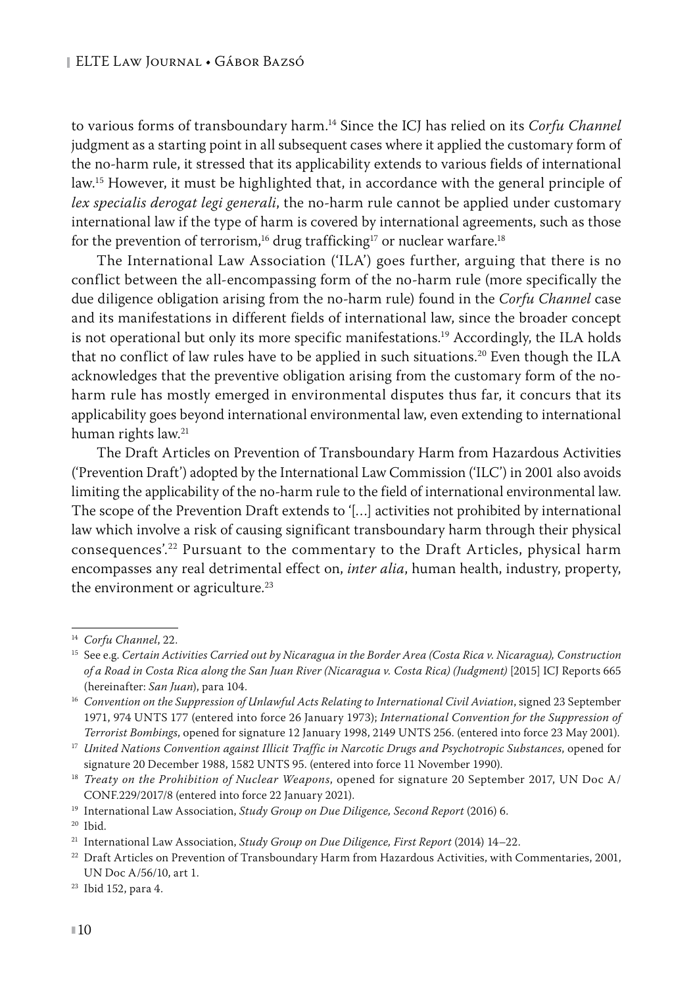to various forms of transboundary harm.14 Since the ICJ has relied on its *Corfu Channel* judgment as a starting point in all subsequent cases where it applied the customary form of the no-harm rule, it stressed that its applicability extends to various fields of international law.<sup>15</sup> However, it must be highlighted that, in accordance with the general principle of *lex specialis derogat legi generali*, the no-harm rule cannot be applied under customary international law if the type of harm is covered by international agreements, such as those for the prevention of terrorism,<sup>16</sup> drug trafficking<sup>17</sup> or nuclear warfare.<sup>18</sup>

The International Law Association ('ILA') goes further, arguing that there is no conflict between the all-encompassing form of the no-harm rule (more specifically the due diligence obligation arising from the no-harm rule) found in the *Corfu Channel* case and its manifestations in different fields of international law, since the broader concept is not operational but only its more specific manifestations.<sup>19</sup> Accordingly, the ILA holds that no conflict of law rules have to be applied in such situations.<sup>20</sup> Even though the ILA acknowledges that the preventive obligation arising from the customary form of the noharm rule has mostly emerged in environmental disputes thus far, it concurs that its applicability goes beyond international environmental law, even extending to international human rights law.21

The Draft Articles on Prevention of Transboundary Harm from Hazardous Activities ('Prevention Draft') adopted by the International Law Commission ('ILC') in 2001 also avoids limiting the applicability of the no-harm rule to the field of international environmental law. The scope of the Prevention Draft extends to '[…] activities not prohibited by international law which involve a risk of causing significant transboundary harm through their physical consequences'.22 Pursuant to the commentary to the Draft Articles, physical harm encompasses any real detrimental effect on, *inter alia*, human health, industry, property, the environment or agriculture.<sup>23</sup>

<sup>14</sup> *Corfu Channel*, 22.

<sup>15</sup> See e.g. *Certain Activities Carried out by Nicaragua in the Border Area (Costa Rica v. Nicaragua), Construction of a Road in Costa Rica along the San Juan River (Nicaragua v. Costa Rica) (Judgment)* [2015] ICJ Reports 665 (hereinafter: *San Juan*), para 104.

<sup>&</sup>lt;sup>16</sup> Convention on the Suppression of Unlawful Acts Relating to International Civil Aviation, signed 23 September 1971, 974 UNTS 177 (entered into force 26 January 1973); *International Convention for the Suppression of* 

Terrorist Bombings, opened for signature 12 January 1998, 2149 UNTS 256. (entered into force 23 May 2001).<br><sup>17</sup> United Nations Convention against Illicit Traffic in Narcotic Drugs and Psychotropic Substances, opened for signature 20 December 1988, 1582 UNTS 95. (entered into force 11 November 1990).

<sup>18</sup> *Treaty on the Prohibition of Nuclear Weapons*, opened for signature 20 September 2017, UN Doc A/ CONF.229/2017/8 (entered into force 22 January 2021).

<sup>19</sup> International Law Association, *Study Group on Due Diligence, Second Report* (2016) 6.

<sup>20</sup> Ibid.

<sup>21</sup> International Law Association, *Study Group on Due Diligence, First Report* (2014) 14–22.

<sup>&</sup>lt;sup>22</sup> Draft Articles on Prevention of Transboundary Harm from Hazardous Activities, with Commentaries, 2001, UN Doc A/56/10, art 1.

<sup>23</sup> Ibid 152, para 4.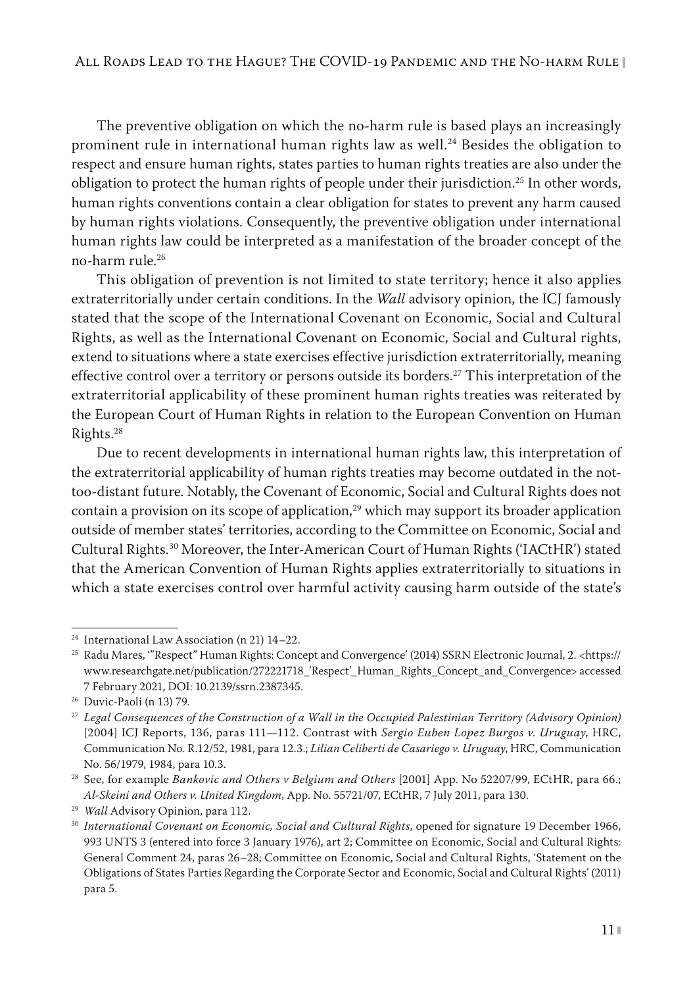The preventive obligation on which the no-harm rule is based plays an increasingly prominent rule in international human rights law as well.<sup>24</sup> Besides the obligation to respect and ensure human rights, states parties to human rights treaties are also under the obligation to protect the human rights of people under their jurisdiction.<sup>25</sup> In other words, human rights conventions contain a clear obligation for states to prevent any harm caused by human rights violations. Consequently, the preventive obligation under international human rights law could be interpreted as a manifestation of the broader concept of the no-harm rule.26

This obligation of prevention is not limited to state territory; hence it also applies extraterritorially under certain conditions. In the *Wall* advisory opinion, the ICJ famously stated that the scope of the International Covenant on Economic, Social and Cultural Rights, as well as the International Covenant on Economic, Social and Cultural rights, extend to situations where a state exercises effective jurisdiction extraterritorially, meaning effective control over a territory or persons outside its borders.<sup>27</sup> This interpretation of the extraterritorial applicability of these prominent human rights treaties was reiterated by the European Court of Human Rights in relation to the European Convention on Human Rights.28

Due to recent developments in international human rights law, this interpretation of the extraterritorial applicability of human rights treaties may become outdated in the nottoo-distant future. Notably, the Covenant of Economic, Social and Cultural Rights does not contain a provision on its scope of application, $^{29}$  which may support its broader application outside of member states' territories, according to the Committee on Economic, Social and Cultural Rights.30 Moreover, the Inter-American Court of Human Rights ('IACtHR') stated that the American Convention of Human Rights applies extraterritorially to situations in which a state exercises control over harmful activity causing harm outside of the state's

<sup>24</sup> International Law Association (n 21) 14–22.

<sup>&</sup>lt;sup>25</sup> Radu Mares, "'Respect" Human Rights: Concept and Convergence' (2014) SSRN Electronic Journal, 2. [<https://](https://www.researchgate.net/publication/272221718_) [www.researchgate.net/publication/272221718\\_'Respect'\\_Human\\_Rights\\_Concept\\_and\\_Convergence>](https://www.researchgate.net/publication/272221718_) accessed 7 February 2021, DOI: 10.2139/ssrn.2387345.

<sup>26</sup> Duvic-Paoli (n 13) 79.

<sup>27</sup> *Legal Consequences of the Construction of a Wall in the Occupied Palestinian Territory (Advisory Opinion)* [2004] ICJ Reports, 136, paras 111—112. Contrast with *Sergio Euben Lopez Burgos v. Uruguay*, HRC, Communication No. R.12/52, 1981, para 12.3.; *Lilian Celiberti de Casariego v. Uruguay*, HRC, Communication No. 56/1979, 1984, para 10.3.

<sup>28</sup> See, for example *Bankovic and Others v Belgium and Others* [2001] App. No 52207/99, ECtHR, para 66.; *Al‑Skeini and Others v. United Kingdom*, App. No. 55721/07, ECtHR, 7 July 2011, para 130.

<sup>29</sup> *Wall* Advisory Opinion, para 112.

<sup>&</sup>lt;sup>30</sup> International Covenant on Economic, Social and Cultural Rights, opened for signature 19 December 1966, 993 UNTS 3 (entered into force 3 January 1976), art 2; Committee on Economic, Social and Cultural Rights: General Comment 24, paras 26–28; Committee on Economic, Social and Cultural Rights, 'Statement on the Obligations of States Parties Regarding the Corporate Sector and Economic, Social and Cultural Rights' (2011) para 5.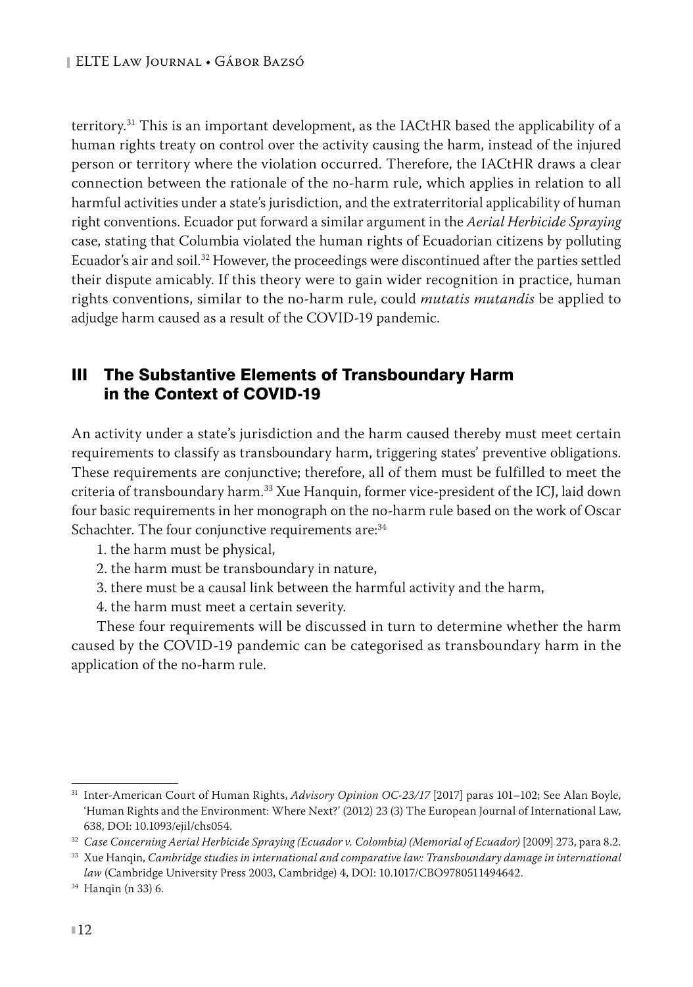territory.31 This is an important development, as the IACtHR based the applicability of a human rights treaty on control over the activity causing the harm, instead of the injured person or territory where the violation occurred. Therefore, the IACtHR draws a clear connection between the rationale of the no-harm rule, which applies in relation to all harmful activities under a state's jurisdiction, and the extraterritorial applicability of human right conventions. Ecuador put forward a similar argument in the *Aerial Herbicide Spraying* case, stating that Columbia violated the human rights of Ecuadorian citizens by polluting Ecuador's air and soil.32 However, the proceedings were discontinued after the parties settled their dispute amicably. If this theory were to gain wider recognition in practice, human rights conventions, similar to the no-harm rule, could *mutatis mutandis* be applied to adjudge harm caused as a result of the COVID-19 pandemic.

# III The Substantive Elements of Transboundary Harm in the Context of COVID-19

An activity under a state's jurisdiction and the harm caused thereby must meet certain requirements to classify as transboundary harm, triggering states' preventive obligations. These requirements are conjunctive; therefore, all of them must be fulfilled to meet the criteria of transboundary harm.33 Xue Hanquin, former vice-president of the ICJ, laid down four basic requirements in her monograph on the no-harm rule based on the work of Oscar Schachter. The four conjunctive requirements are:<sup>34</sup>

- 1. the harm must be physical,
- 2. the harm must be transboundary in nature,
- 3. there must be a causal link between the harmful activity and the harm,
- 4. the harm must meet a certain severity.

These four requirements will be discussed in turn to determine whether the harm caused by the COVID-19 pandemic can be categorised as transboundary harm in the application of the no-harm rule.

<sup>31</sup> Inter-American Court of Human Rights, *Advisory Opinion OC-23/17* [2017] paras 101–102; See Alan Boyle, 'Human Rights and the Environment: Where Next?' (2012) 23 (3) The European Journal of International Law, 638, DOI: 10.1093/ejil/chs054.

<sup>32</sup> *Case Concerning Aerial Herbicide Spraying (Ecuador v. Colombia) (Memorial of Ecuador)* [2009] 273, para 8.2.

<sup>33</sup> Xue Hanqin, *Cambridge studies in international and comparative law: Transboundary damage in international law* (Cambridge University Press 2003, Cambridge) 4, DOI: 10.1017/CBO9780511494642.

<sup>34</sup> Hanqin (n 33) 6.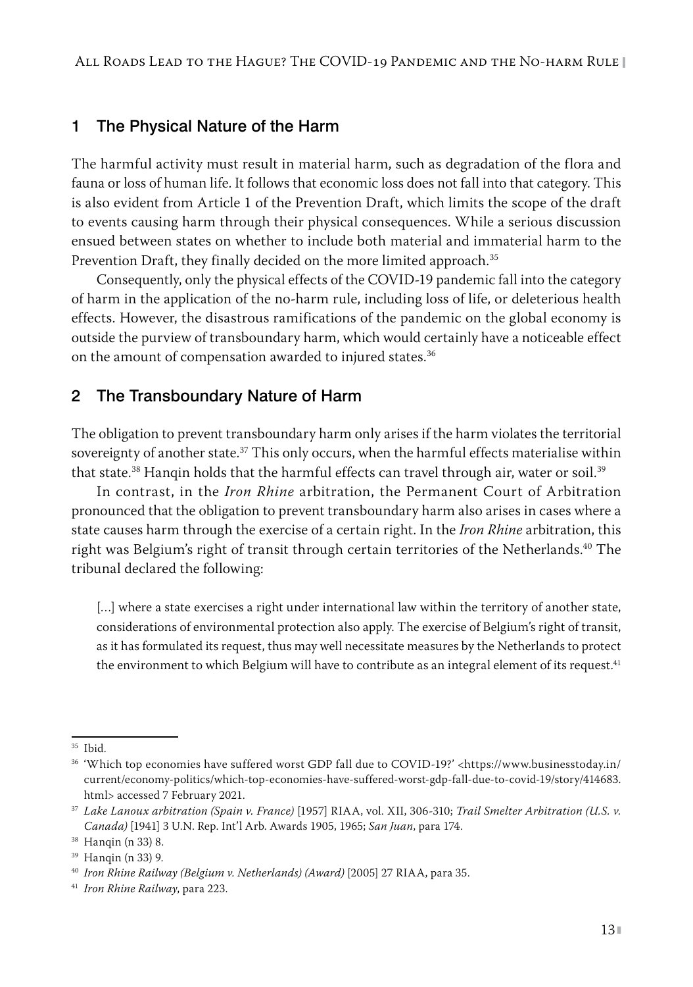#### 1 The Physical Nature of the Harm

The harmful activity must result in material harm, such as degradation of the flora and fauna or loss of human life. It follows that economic loss does not fall into that category. This is also evident from Article 1 of the Prevention Draft, which limits the scope of the draft to events causing harm through their physical consequences. While a serious discussion ensued between states on whether to include both material and immaterial harm to the Prevention Draft, they finally decided on the more limited approach.<sup>35</sup>

Consequently, only the physical effects of the COVID-19 pandemic fall into the category of harm in the application of the no-harm rule, including loss of life, or deleterious health effects. However, the disastrous ramifications of the pandemic on the global economy is outside the purview of transboundary harm, which would certainly have a noticeable effect on the amount of compensation awarded to injured states.<sup>36</sup>

## 2 The Transboundary Nature of Harm

The obligation to prevent transboundary harm only arises if the harm violates the territorial sovereignty of another state.<sup>37</sup> This only occurs, when the harmful effects materialise within that state.<sup>38</sup> Hangin holds that the harmful effects can travel through air, water or soil.<sup>39</sup>

In contrast, in the *Iron Rhine* arbitration, the Permanent Court of Arbitration pronounced that the obligation to prevent transboundary harm also arises in cases where a state causes harm through the exercise of a certain right. In the *Iron Rhine* arbitration, this right was Belgium's right of transit through certain territories of the Netherlands.<sup>40</sup> The tribunal declared the following:

[...] where a state exercises a right under international law within the territory of another state, considerations of environmental protection also apply. The exercise of Belgium's right of transit, as it has formulated its request, thus may well necessitate measures by the Netherlands to protect the environment to which Belgium will have to contribute as an integral element of its request.<sup>41</sup>

<sup>35</sup> Ibid.

<sup>&</sup>lt;sup>36</sup> 'Which top economies have suffered worst GDP fall due to COVID-19?' <[https://www.businesstoday.in/](https://www.businesstoday.in/current/economy-politics/which-top-economies-have-suffered-worst-gdp-fall-due-to-covid-19/story/414683.html) [current/economy-politics/which-top-economies-have-suffered-worst-gdp-fall-due-to-covid-19/story/414683.](https://www.businesstoday.in/current/economy-politics/which-top-economies-have-suffered-worst-gdp-fall-due-to-covid-19/story/414683.html) [html>](https://www.businesstoday.in/current/economy-politics/which-top-economies-have-suffered-worst-gdp-fall-due-to-covid-19/story/414683.html) accessed 7 February 2021.

<sup>37</sup> *Lake Lanoux arbitration (Spain v. France)* [1957] RIAA, vol. XII, 306-310; *Trail Smelter Arbitration (U.S. v. Canada)* [1941] 3 U.N. Rep. Int'l Arb. Awards 1905, 1965; *San Juan*, para 174.

<sup>38</sup> Hanqin (n 33) 8.

<sup>39</sup> Hanqin (n 33) 9.

<sup>40</sup> *Iron Rhine Railway (Belgium v. Netherlands) (Award)* [2005] 27 RIAA, para 35.

<sup>41</sup> *Iron Rhine Railway*, para 223.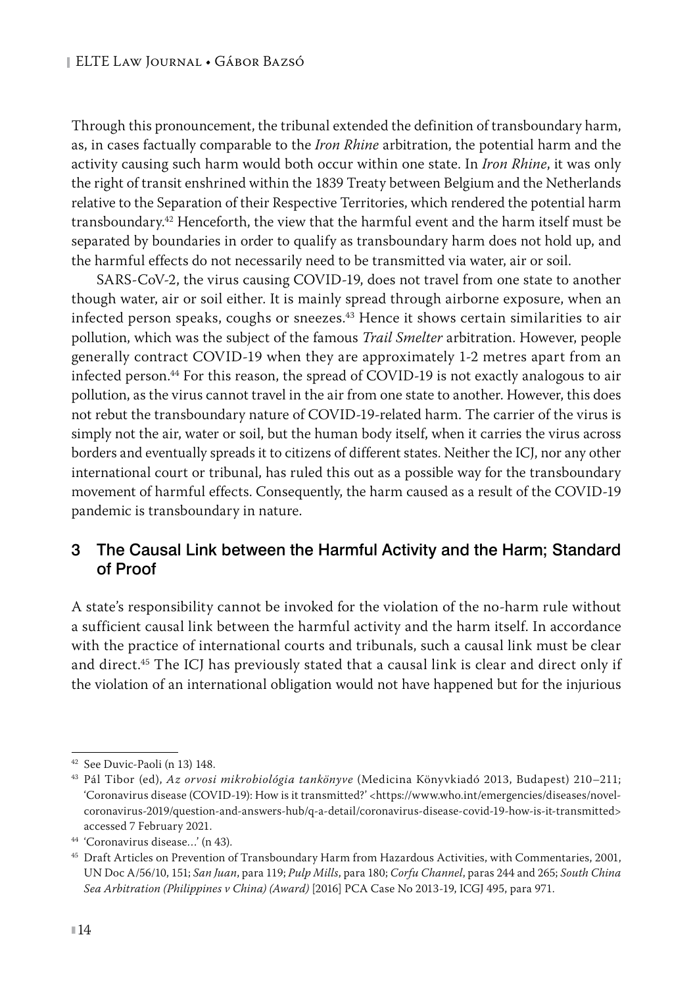Through this pronouncement, the tribunal extended the definition of transboundary harm, as, in cases factually comparable to the *Iron Rhine* arbitration, the potential harm and the activity causing such harm would both occur within one state. In *Iron Rhine*, it was only the right of transit enshrined within the 1839 Treaty between Belgium and the Netherlands relative to the Separation of their Respective Territories, which rendered the potential harm transboundary.<sup>42</sup> Henceforth, the view that the harmful event and the harm itself must be separated by boundaries in order to qualify as transboundary harm does not hold up, and the harmful effects do not necessarily need to be transmitted via water, air or soil.

SARS-CoV-2, the virus causing COVID-19, does not travel from one state to another though water, air or soil either. It is mainly spread through airborne exposure, when an infected person speaks, coughs or sneezes.43 Hence it shows certain similarities to air pollution, which was the subject of the famous *Trail Smelter* arbitration. However, people generally contract COVID-19 when they are approximately 1-2 metres apart from an infected person.44 For this reason, the spread of COVID-19 is not exactly analogous to air pollution, as the virus cannot travel in the air from one state to another. However, this does not rebut the transboundary nature of COVID-19-related harm. The carrier of the virus is simply not the air, water or soil, but the human body itself, when it carries the virus across borders and eventually spreads it to citizens of different states. Neither the ICJ, nor any other international court or tribunal, has ruled this out as a possible way for the transboundary movement of harmful effects. Consequently, the harm caused as a result of the COVID-19 pandemic is transboundary in nature.

## 3 The Causal Link between the Harmful Activity and the Harm; Standard of Proof

A state's responsibility cannot be invoked for the violation of the no-harm rule without a sufficient causal link between the harmful activity and the harm itself. In accordance with the practice of international courts and tribunals, such a causal link must be clear and direct.45 The ICJ has previously stated that a causal link is clear and direct only if the violation of an international obligation would not have happened but for the injurious

<sup>42</sup> See Duvic-Paoli (n 13) 148.

<sup>43</sup> Pál Tibor (ed), *Az orvosi mikrobiológia tankönyve* (Medicina Könyvkiadó 2013, Budapest) 210–211; 'Coronavirus disease (COVID-19): How is it transmitted?' <[https://www.who.int/emergencies/diseases/novel](https://www.who.int/emergencies/diseases/novel-coronavirus-2019/question-and-answers-hub/q-a-detail/coronavirus-disease-covid-19-how-is-it-transmitted)[coronavirus-2019/question-and-answers-hub/q-a-detail/coronavirus-disease-covid-19-how-is-it-transmitted](https://www.who.int/emergencies/diseases/novel-coronavirus-2019/question-and-answers-hub/q-a-detail/coronavirus-disease-covid-19-how-is-it-transmitted)> accessed 7 February 2021.

<sup>44</sup> 'Coronavirus disease…' (n 43).

<sup>45</sup> Draft Articles on Prevention of Transboundary Harm from Hazardous Activities, with Commentaries, 2001, UN Doc A/56/10, 151; *San Juan*, para 119; *Pulp Mills*, para 180; *Corfu Channel*, paras 244 and 265; *South China Sea Arbitration (Philippines v China) (Award)* [2016] PCA Case No 2013-19, ICGJ 495, para 971.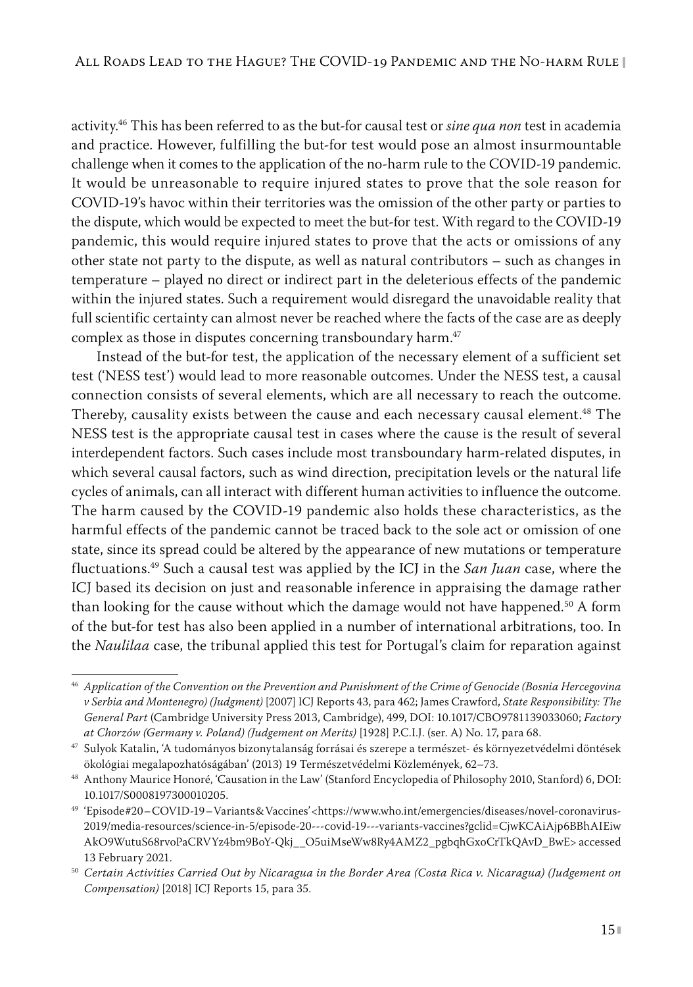activity.46 This has been referred to as the but-for causal test or *sine qua non* test in academia and practice. However, fulfilling the but-for test would pose an almost insurmountable challenge when it comes to the application of the no-harm rule to the COVID-19 pandemic. It would be unreasonable to require injured states to prove that the sole reason for COVID-19's havoc within their territories was the omission of the other party or parties to the dispute, which would be expected to meet the but-for test. With regard to the COVID-19 pandemic, this would require injured states to prove that the acts or omissions of any other state not party to the dispute, as well as natural contributors – such as changes in temperature – played no direct or indirect part in the deleterious effects of the pandemic within the injured states. Such a requirement would disregard the unavoidable reality that full scientific certainty can almost never be reached where the facts of the case are as deeply complex as those in disputes concerning transboundary harm.<sup>47</sup>

Instead of the but-for test, the application of the necessary element of a sufficient set test ('NESS test') would lead to more reasonable outcomes. Under the NESS test, a causal connection consists of several elements, which are all necessary to reach the outcome. Thereby, causality exists between the cause and each necessary causal element.<sup>48</sup> The NESS test is the appropriate causal test in cases where the cause is the result of several interdependent factors. Such cases include most transboundary harm-related disputes, in which several causal factors, such as wind direction, precipitation levels or the natural life cycles of animals, can all interact with different human activities to influence the outcome. The harm caused by the COVID-19 pandemic also holds these characteristics, as the harmful effects of the pandemic cannot be traced back to the sole act or omission of one state, since its spread could be altered by the appearance of new mutations or temperature fluctuations.49 Such a causal test was applied by the ICJ in the *San Juan* case, where the ICJ based its decision on just and reasonable inference in appraising the damage rather than looking for the cause without which the damage would not have happened.<sup>50</sup> A form of the but-for test has also been applied in a number of international arbitrations, too. In the *Naulilaa* case, the tribunal applied this test for Portugal's claim for reparation against

<sup>46</sup> *Application of the Convention on the Prevention and Punishment of the Crime of Genocide (Bosnia Hercegovina v Serbia and Montenegro) (Judgment)* [2007] ICJ Reports 43, para 462; James Crawford, *State Responsibility: The General Part* (Cambridge University Press 2013, Cambridge), 499, DOI: 10.1017/CBO9781139033060; *Factory at Chorzów (Germany v. Poland) (Judgement on Merits)* [1928] P.C.I.J. (ser. A) No. 17, para 68.

<sup>47</sup> Sulyok Katalin, 'A tudományos bizonytalanság forrásai és szerepe a természet- és környezetvédelmi döntések ökológiai megalapozhatóságában' (2013) 19 Természetvédelmi Közlemények, 62–73.

<sup>48</sup> Anthony Maurice Honoré, 'Causation in the Law' (Stanford Encyclopedia of Philosophy 2010, Stanford) 6, DOI: 10.1017/S0008197300010205.

<sup>49</sup> 'Episode #20 – COVID-19 – Variants & Vaccines' <[https://www.who.int/emergencies/diseases/novel-coronavirus-](https://www.who.int/emergencies/diseases/novel-coronavirus-2019/media-resources/science-in-5/episode-20---covid-19---variants-vaccines?gclid=CjwKCAiAjp6BBhAIEiwAkO9WutuS68rvoPaCRVYz4bm9BoY-Qkj__O5uiMseWw8Ry4AMZ2_pgbqhGxoCrTkQAvD_BwE)[2019/media-resources/science-in-5/episode-20---covid-19---variants-vaccines?gclid=CjwKCAiAjp6BBhAIEiw](https://www.who.int/emergencies/diseases/novel-coronavirus-2019/media-resources/science-in-5/episode-20---covid-19---variants-vaccines?gclid=CjwKCAiAjp6BBhAIEiwAkO9WutuS68rvoPaCRVYz4bm9BoY-Qkj__O5uiMseWw8Ry4AMZ2_pgbqhGxoCrTkQAvD_BwE) [AkO9WutuS68rvoPaCRVYz4bm9BoY-Qkj\\_\\_O5uiMseWw8Ry4AMZ2\\_pgbqhGxoCrTkQAvD\\_BwE](https://www.who.int/emergencies/diseases/novel-coronavirus-2019/media-resources/science-in-5/episode-20---covid-19---variants-vaccines?gclid=CjwKCAiAjp6BBhAIEiwAkO9WutuS68rvoPaCRVYz4bm9BoY-Qkj__O5uiMseWw8Ry4AMZ2_pgbqhGxoCrTkQAvD_BwE)> accessed 13 February 2021.

<sup>50</sup> *Certain Activities Carried Out by Nicaragua in the Border Area (Costa Rica v. Nicaragua) (Judgement on Compensation)* [2018] ICJ Reports 15, para 35.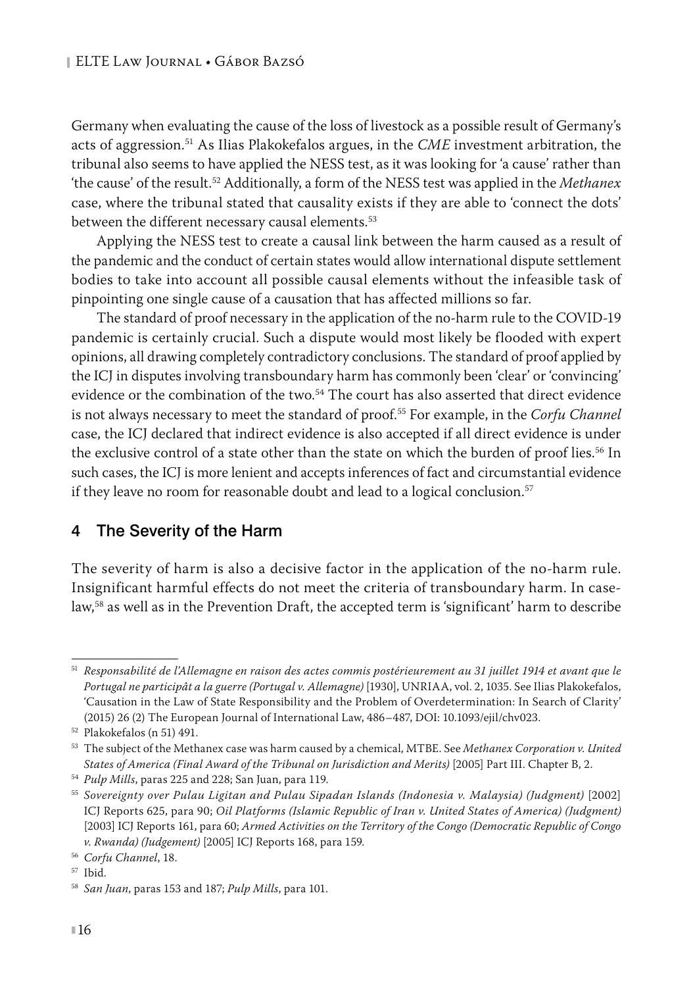Germany when evaluating the cause of the loss of livestock as a possible result of Germany's acts of aggression.51 As Ilias Plakokefalos argues, in the *CME* investment arbitration, the tribunal also seems to have applied the NESS test, as it was looking for 'a cause' rather than 'the cause' of the result.52 Additionally, a form of the NESS test was applied in the *Methanex* case, where the tribunal stated that causality exists if they are able to 'connect the dots' between the different necessary causal elements.<sup>53</sup>

Applying the NESS test to create a causal link between the harm caused as a result of the pandemic and the conduct of certain states would allow international dispute settlement bodies to take into account all possible causal elements without the infeasible task of pinpointing one single cause of a causation that has affected millions so far.

The standard of proof necessary in the application of the no-harm rule to the COVID-19 pandemic is certainly crucial. Such a dispute would most likely be flooded with expert opinions, all drawing completely contradictory conclusions. The standard of proof applied by the ICJ in disputes involving transboundary harm has commonly been 'clear' or 'convincing' evidence or the combination of the two.<sup>54</sup> The court has also asserted that direct evidence is not always necessary to meet the standard of proof.55 For example, in the *Corfu Channel* case, the ICJ declared that indirect evidence is also accepted if all direct evidence is under the exclusive control of a state other than the state on which the burden of proof lies.<sup>56</sup> In such cases, the ICJ is more lenient and accepts inferences of fact and circumstantial evidence if they leave no room for reasonable doubt and lead to a logical conclusion.<sup>57</sup>

## 4 The Severity of the Harm

The severity of harm is also a decisive factor in the application of the no-harm rule. Insignificant harmful effects do not meet the criteria of transboundary harm. In caselaw,<sup>58</sup> as well as in the Prevention Draft, the accepted term is 'significant' harm to describe

<sup>51</sup> *Responsabilité de l'Allemagne en raison des actes commis postérieurement au 31 juillet 1914 et avant que le Portugal ne participât a la guerre (Portugal v. Allemagne)* [1930], UNRIAA, vol. 2, 1035. See Ilias Plakokefalos, 'Causation in the Law of State Responsibility and the Problem of Overdetermination: In Search of Clarity' (2015) 26 (2) The European Journal of International Law, 486–487, DOI: 10.1093/ejil/chv023.

<sup>52</sup> Plakokefalos (n 51) 491.

<sup>53</sup> The subject of the Methanex case was harm caused by a chemical, MTBE. See *Methanex Corporation v. United States of America (Final Award of the Tribunal on Jurisdiction and Merits)* [2005] Part III. Chapter B, 2.

<sup>54</sup> *Pulp Mills*, paras 225 and 228; San Juan, para 119.

<sup>55</sup> *Sovereignty over Pulau Ligitan and Pulau Sipadan Islands (Indonesia v. Malaysia) (Judgment)* [2002] ICJ Reports 625, para 90; *Oil Platforms (Islamic Republic of Iran v. United States of America) (Judgment)* [2003] ICJ Reports 161, para 60; *Armed Activities on the Territory of the Congo (Democratic Republic of Congo v. Rwanda) (Judgement)* [2005] ICJ Reports 168, para 159.

<sup>56</sup> *Corfu Channel*, 18.

<sup>57</sup> Ibid.

<sup>58</sup> *San Juan*, paras 153 and 187; *Pulp Mills*, para 101.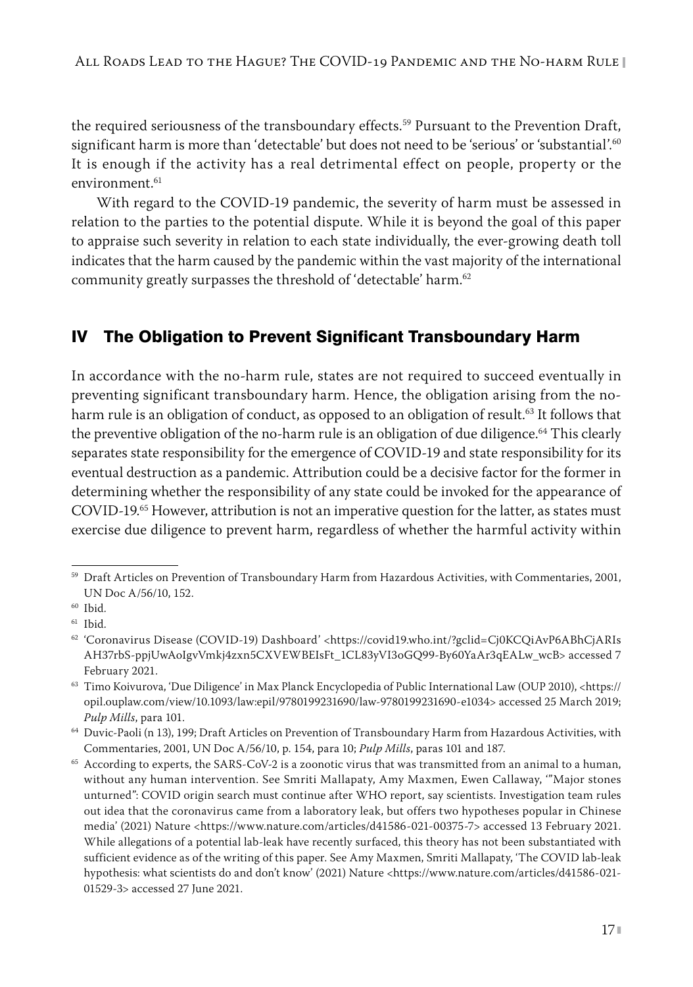the required seriousness of the transboundary effects.<sup>59</sup> Pursuant to the Prevention Draft, significant harm is more than 'detectable' but does not need to be 'serious' or 'substantial'.<sup>60</sup> It is enough if the activity has a real detrimental effect on people, property or the environment.<sup>61</sup>

With regard to the COVID-19 pandemic, the severity of harm must be assessed in relation to the parties to the potential dispute. While it is beyond the goal of this paper to appraise such severity in relation to each state individually, the ever-growing death toll indicates that the harm caused by the pandemic within the vast majority of the international community greatly surpasses the threshold of 'detectable' harm.<sup>62</sup>

# IV The Obligation to Prevent Significant Transboundary Harm

In accordance with the no-harm rule, states are not required to succeed eventually in preventing significant transboundary harm. Hence, the obligation arising from the noharm rule is an obligation of conduct, as opposed to an obligation of result.<sup>63</sup> It follows that the preventive obligation of the no-harm rule is an obligation of due diligence.<sup>64</sup> This clearly separates state responsibility for the emergence of COVID-19 and state responsibility for its eventual destruction as a pandemic. Attribution could be a decisive factor for the former in determining whether the responsibility of any state could be invoked for the appearance of COVID-19.65 However, attribution is not an imperative question for the latter, as states must exercise due diligence to prevent harm, regardless of whether the harmful activity within

<sup>59</sup> Draft Articles on Prevention of Transboundary Harm from Hazardous Activities, with Commentaries, 2001, UN Doc A/56/10, 152.

<sup>60</sup> Ibid.

<sup>61</sup> Ibid.

<sup>62</sup> 'Coronavirus Disease (COVID-19) Dashboard' [<https://covid19.who.int/?gclid=Cj0KCQiAvP6ABhCjARIs](https://covid19.who.int/?gclid=Cj0KCQiAvP6ABhCjARIsAH37rbS-ppjUwAoIgvVmkj4zxn5CXVEWBEIsFt_1CL83yVI3oGQ99-By60YaAr3qEALw_wcB) [AH37rbS-ppjUwAoIgvVmkj4zxn5CXVEWBEIsFt\\_1CL83yVI3oGQ99-By60YaAr3qEALw\\_wcB>](https://covid19.who.int/?gclid=Cj0KCQiAvP6ABhCjARIsAH37rbS-ppjUwAoIgvVmkj4zxn5CXVEWBEIsFt_1CL83yVI3oGQ99-By60YaAr3qEALw_wcB) accessed 7 February 2021.

<sup>63</sup> Timo Koivurova, 'Due Diligence' in Max Planck Encyclopedia of Public International Law (OUP 2010), <[https://](https://opil.ouplaw.com/view/10.1093/law:epil/9780199231690/law-9780199231690-e1034) [opil.ouplaw.com/view/10.1093/law:epil/9780199231690/law-9780199231690-e1034>](https://opil.ouplaw.com/view/10.1093/law:epil/9780199231690/law-9780199231690-e1034) accessed 25 March 2019; *Pulp Mills*, para 101.

<sup>64</sup> Duvic-Paoli (n 13), 199; Draft Articles on Prevention of Transboundary Harm from Hazardous Activities, with Commentaries, 2001, UN Doc A/56/10, p. 154, para 10; *Pulp Mills*, paras 101 and 187.

<sup>65</sup> According to experts, the SARS-CoV-2 is a zoonotic virus that was transmitted from an animal to a human, without any human intervention. See Smriti Mallapaty, Amy Maxmen, Ewen Callaway, '"Major stones unturned": COVID origin search must continue after WHO report, say scientists. Investigation team rules out idea that the coronavirus came from a laboratory leak, but offers two hypotheses popular in Chinese media' (2021) Nature [<https://www.nature.com/articles/d41586-021-00375-7>](https://www.nature.com/articles/d41586-021-00375-7) accessed 13 February 2021. While allegations of a potential lab-leak have recently surfaced, this theory has not been substantiated with sufficient evidence as of the writing of this paper. See Amy Maxmen, Smriti Mallapaty, 'The COVID lab-leak hypothesis: what scientists do and don't know' (2021) Nature <[https://www.nature.com/articles/d41586-021-](https://www.nature.com/articles/d41586-021-01529-3) [01529-3>](https://www.nature.com/articles/d41586-021-01529-3) accessed 27 June 2021.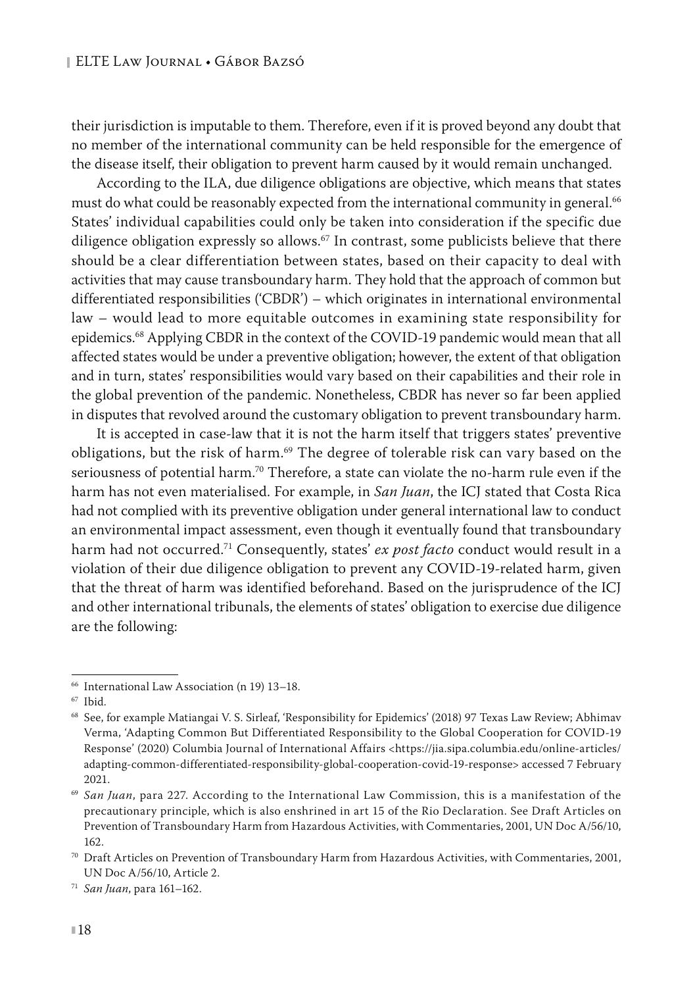their jurisdiction is imputable to them. Therefore, even if it is proved beyond any doubt that no member of the international community can be held responsible for the emergence of the disease itself, their obligation to prevent harm caused by it would remain unchanged.

According to the ILA, due diligence obligations are objective, which means that states must do what could be reasonably expected from the international community in general.<sup>66</sup> States' individual capabilities could only be taken into consideration if the specific due diligence obligation expressly so allows. $67$  In contrast, some publicists believe that there should be a clear differentiation between states, based on their capacity to deal with activities that may cause transboundary harm. They hold that the approach of common but differentiated responsibilities ('CBDR') – which originates in international environmental law – would lead to more equitable outcomes in examining state responsibility for epidemics.<sup>68</sup> Applying CBDR in the context of the COVID-19 pandemic would mean that all affected states would be under a preventive obligation; however, the extent of that obligation and in turn, states' responsibilities would vary based on their capabilities and their role in the global prevention of the pandemic. Nonetheless, CBDR has never so far been applied in disputes that revolved around the customary obligation to prevent transboundary harm.

It is accepted in case-law that it is not the harm itself that triggers states' preventive obligations, but the risk of harm.<sup>69</sup> The degree of tolerable risk can vary based on the seriousness of potential harm.<sup>70</sup> Therefore, a state can violate the no-harm rule even if the harm has not even materialised. For example, in *San Juan*, the ICJ stated that Costa Rica had not complied with its preventive obligation under general international law to conduct an environmental impact assessment, even though it eventually found that transboundary harm had not occurred.71 Consequently, states' *ex post facto* conduct would result in a violation of their due diligence obligation to prevent any COVID-19-related harm, given that the threat of harm was identified beforehand. Based on the jurisprudence of the ICJ and other international tribunals, the elements of states' obligation to exercise due diligence are the following:

<sup>66</sup> International Law Association (n 19) 13–18.

<sup>67</sup> Ibid.

<sup>68</sup> See, for example Matiangai V. S. Sirleaf, 'Responsibility for Epidemics' (2018) 97 Texas Law Review; Abhimav Verma, 'Adapting Common But Differentiated Responsibility to the Global Cooperation for COVID-19 Response' (2020) Columbia Journal of International Affairs <[https://jia.sipa.columbia.edu/online-articles/](https://jia.sipa.columbia.edu/online-articles/adapting-common-differentiated-responsibility-global-cooperation-covid-19-response) [adapting-common-differentiated-responsibility-global-cooperation-covid-19-response](https://jia.sipa.columbia.edu/online-articles/adapting-common-differentiated-responsibility-global-cooperation-covid-19-response)> accessed 7 February 2021.

<sup>&</sup>lt;sup>69</sup> San Juan, para 227. According to the International Law Commission, this is a manifestation of the precautionary principle, which is also enshrined in art 15 of the Rio Declaration. See Draft Articles on Prevention of Transboundary Harm from Hazardous Activities, with Commentaries, 2001, UN Doc A/56/10, 162.

<sup>70</sup> Draft Articles on Prevention of Transboundary Harm from Hazardous Activities, with Commentaries, 2001, UN Doc A/56/10, Article 2.

<sup>71</sup> *San Juan*, para 161–162.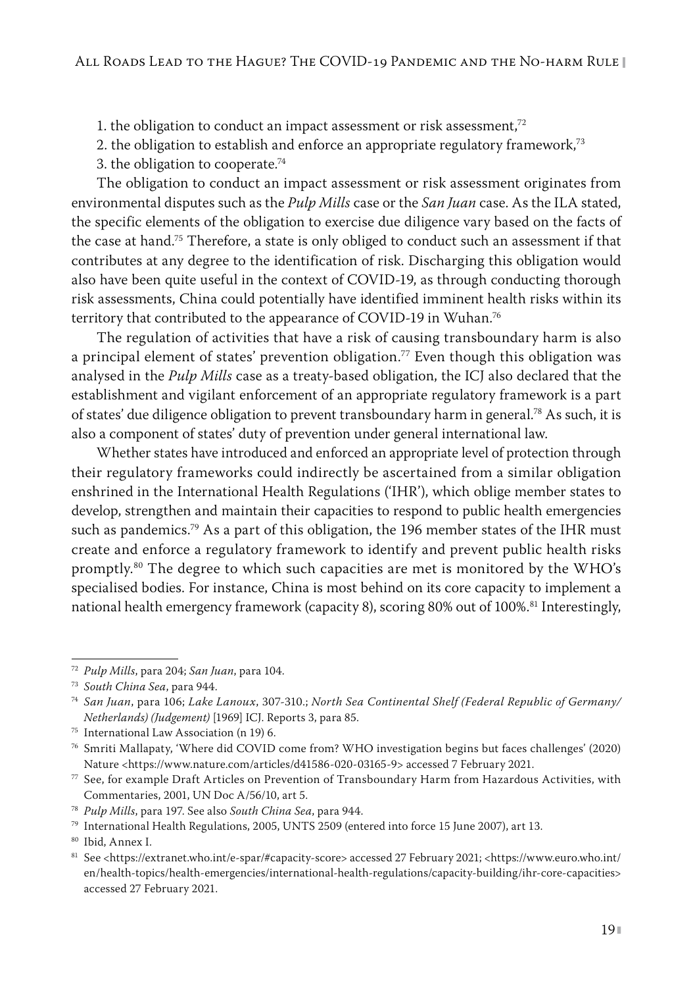1. the obligation to conduct an impact assessment or risk assessment, $72$ 

2. the obligation to establish and enforce an appropriate regulatory framework,<sup>73</sup>

3. the obligation to cooperate.74

The obligation to conduct an impact assessment or risk assessment originates from environmental disputes such as the *Pulp Mills* case or the *San Juan* case. As the ILA stated, the specific elements of the obligation to exercise due diligence vary based on the facts of the case at hand.75 Therefore, a state is only obliged to conduct such an assessment if that contributes at any degree to the identification of risk. Discharging this obligation would also have been quite useful in the context of COVID-19, as through conducting thorough risk assessments, China could potentially have identified imminent health risks within its territory that contributed to the appearance of COVID-19 in Wuhan.<sup>76</sup>

The regulation of activities that have a risk of causing transboundary harm is also a principal element of states' prevention obligation.<sup>77</sup> Even though this obligation was analysed in the *Pulp Mills* case as a treaty-based obligation, the ICJ also declared that the establishment and vigilant enforcement of an appropriate regulatory framework is a part of states' due diligence obligation to prevent transboundary harm in general.<sup>78</sup> As such, it is also a component of states' duty of prevention under general international law.

Whether states have introduced and enforced an appropriate level of protection through their regulatory frameworks could indirectly be ascertained from a similar obligation enshrined in the International Health Regulations ('IHR'), which oblige member states to develop, strengthen and maintain their capacities to respond to public health emergencies such as pandemics.<sup>79</sup> As a part of this obligation, the 196 member states of the IHR must create and enforce a regulatory framework to identify and prevent public health risks promptly.<sup>80</sup> The degree to which such capacities are met is monitored by the WHO's specialised bodies. For instance, China is most behind on its core capacity to implement a national health emergency framework (capacity 8), scoring 80% out of 100%.<sup>81</sup> Interestingly,

<sup>72</sup> *Pulp Mills*, para 204; *San Juan*, para 104.

<sup>73</sup> *South China Sea*, para 944.

<sup>74</sup> *San Juan*, para 106; *Lake Lanoux*, 307-310.; *North Sea Continental Shelf (Federal Republic of Germany/ Netherlands) (Judgement)* [1969] ICJ. Reports 3, para 85.

<sup>75</sup> International Law Association (n 19) 6.

<sup>76</sup> Smriti Mallapaty, 'Where did COVID come from? WHO investigation begins but faces challenges' (2020) Nature <<https://www.nature.com/articles/d41586-020-03165-9>> accessed 7 February 2021.

<sup>77</sup> See, for example Draft Articles on Prevention of Transboundary Harm from Hazardous Activities, with Commentaries, 2001, UN Doc A/56/10, art 5.

<sup>78</sup> *Pulp Mills*, para 197. See also *South China Sea*, para 944.

<sup>79</sup> International Health Regulations, 2005, UNTS 2509 (entered into force 15 June 2007), art 13.

<sup>80</sup> Ibid, Annex I.

<sup>81</sup> See [<https://extranet.who.int/e-spar/#capacity-score](https://extranet.who.int/e-spar/#capacity-score)> accessed 27 February 2021; <https://www.euro.who.int/ en/health-topics/health-emergencies/international-health-regulations/capacity-building/ihr-core-capacities> accessed 27 February 2021.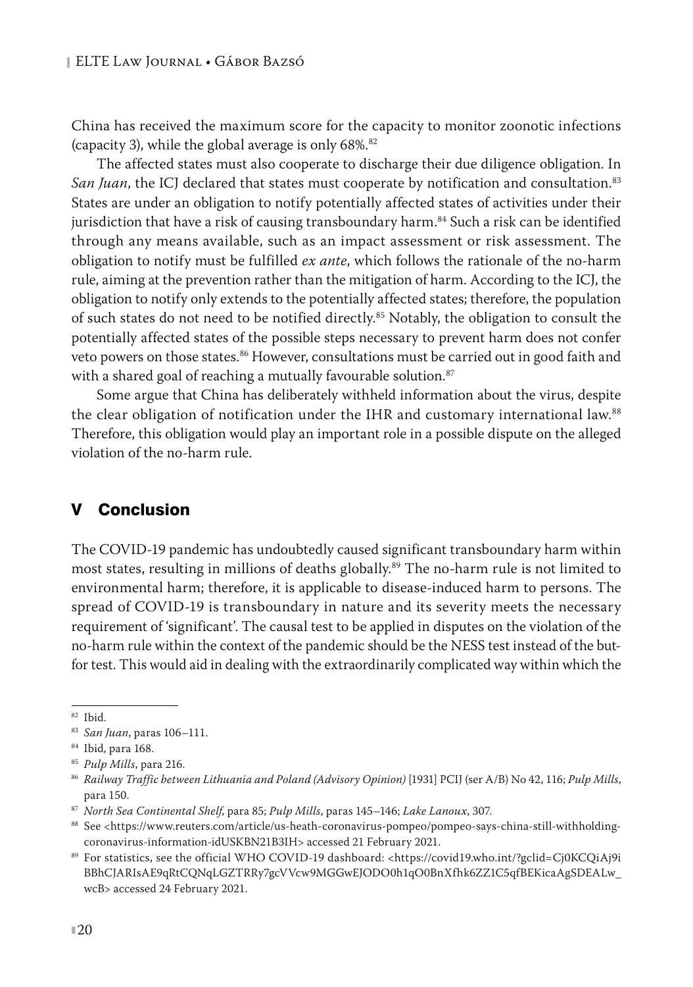China has received the maximum score for the capacity to monitor zoonotic infections (capacity 3), while the global average is only 68%.<sup>82</sup>

The affected states must also cooperate to discharge their due diligence obligation. In *San Juan*, the ICJ declared that states must cooperate by notification and consultation.<sup>83</sup> States are under an obligation to notify potentially affected states of activities under their jurisdiction that have a risk of causing transboundary harm.<sup>84</sup> Such a risk can be identified through any means available, such as an impact assessment or risk assessment. The obligation to notify must be fulfilled *ex ante*, which follows the rationale of the no-harm rule, aiming at the prevention rather than the mitigation of harm. According to the ICJ, the obligation to notify only extends to the potentially affected states; therefore, the population of such states do not need to be notified directly.<sup>85</sup> Notably, the obligation to consult the potentially affected states of the possible steps necessary to prevent harm does not confer veto powers on those states.<sup>86</sup> However, consultations must be carried out in good faith and with a shared goal of reaching a mutually favourable solution.<sup>87</sup>

Some argue that China has deliberately withheld information about the virus, despite the clear obligation of notification under the IHR and customary international law.<sup>88</sup> Therefore, this obligation would play an important role in a possible dispute on the alleged violation of the no-harm rule.

## V Conclusion

The COVID-19 pandemic has undoubtedly caused significant transboundary harm within most states, resulting in millions of deaths globally.<sup>89</sup> The no-harm rule is not limited to environmental harm; therefore, it is applicable to disease-induced harm to persons. The spread of COVID-19 is transboundary in nature and its severity meets the necessary requirement of 'significant'. The causal test to be applied in disputes on the violation of the no-harm rule within the context of the pandemic should be the NESS test instead of the butfor test. This would aid in dealing with the extraordinarily complicated way within which the

<sup>82</sup> Ibid.

<sup>83</sup> *San Juan*, paras 106–111.

<sup>84</sup> Ibid, para 168.

<sup>85</sup> *Pulp Mills*, para 216.

<sup>86</sup> *Railway Traffic between Lithuania and Poland (Advisory Opinion)* [1931] PCIJ (ser A/B) No 42, 116; *Pulp Mills*, para 150.

<sup>87</sup> *North Sea Continental Shelf*, para 85; *Pulp Mills*, paras 145–146; *Lake Lanoux*, 307.

<sup>88</sup> See <[https://www.reuters.com/article/us-heath-coronavirus-pompeo/pompeo-says-china-still-withholding](https://www.reuters.com/article/us-heath-coronavirus-pompeo/pompeo-says-china-still-withholding-coronavirus-information-idUSKBN21B3IH)[coronavirus-information-idUSKBN21B3IH](https://www.reuters.com/article/us-heath-coronavirus-pompeo/pompeo-says-china-still-withholding-coronavirus-information-idUSKBN21B3IH)> accessed 21 February 2021.

<sup>89</sup> For statistics, see the official WHO COVID-19 dashboard: [<https://covid19.who.int/?gclid=Cj0KCQiAj9i](https://covid19.who.int/?gclid=Cj0KCQiAj9iBBhCJARIsAE9qRtCQNqLGZTRRy7gcVVcw9MGGwEJODO0h1qO0BnXfhk6ZZ1C5qfBEKicaAgSDEALw_wcB) [BBhCJARIsAE9qRtCQNqLGZTRRy7gcVVcw9MGGwEJODO0h1qO0BnXfhk6ZZ1C5qfBEKicaAgSDEALw\\_](https://covid19.who.int/?gclid=Cj0KCQiAj9iBBhCJARIsAE9qRtCQNqLGZTRRy7gcVVcw9MGGwEJODO0h1qO0BnXfhk6ZZ1C5qfBEKicaAgSDEALw_wcB) [wcB](https://covid19.who.int/?gclid=Cj0KCQiAj9iBBhCJARIsAE9qRtCQNqLGZTRRy7gcVVcw9MGGwEJODO0h1qO0BnXfhk6ZZ1C5qfBEKicaAgSDEALw_wcB)> accessed 24 February 2021.